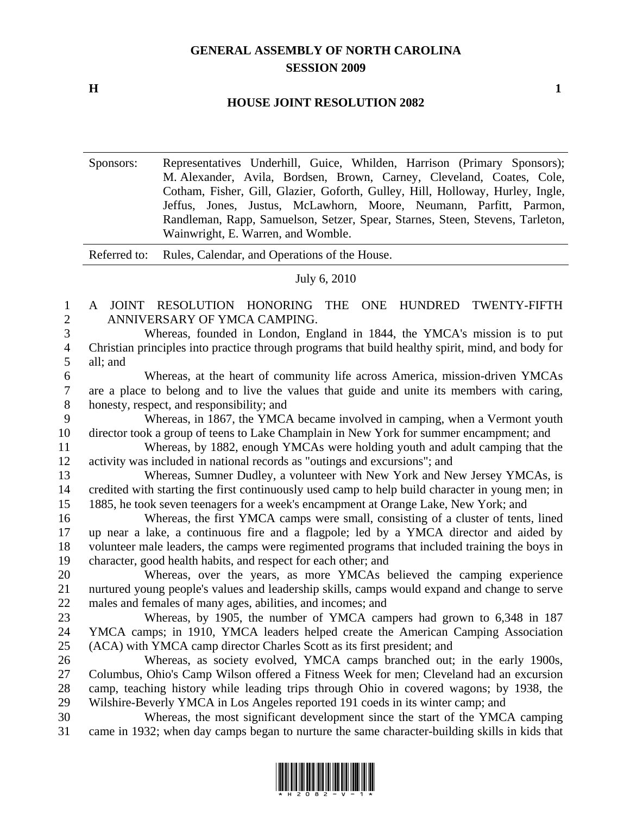## **GENERAL ASSEMBLY OF NORTH CAROLINA SESSION 2009**

**H** 1

## **HOUSE JOINT RESOLUTION 2082**

Sponsors: Representatives Underhill, Guice, Whilden, Harrison (Primary Sponsors); M. Alexander, Avila, Bordsen, Brown, Carney, Cleveland, Coates, Cole, Cotham, Fisher, Gill, Glazier, Goforth, Gulley, Hill, Holloway, Hurley, Ingle, Jeffus, Jones, Justus, McLawhorn, Moore, Neumann, Parfitt, Parmon, Randleman, Rapp, Samuelson, Setzer, Spear, Starnes, Steen, Stevens, Tarleton, Wainwright, E. Warren, and Womble.

Referred to: Rules, Calendar, and Operations of the House.

## July 6, 2010

1 A JOINT RESOLUTION HONORING THE ONE HUNDRED TWENTY-FIFTH 2 ANNIVERSARY OF YMCA CAMPING.

3 Whereas, founded in London, England in 1844, the YMCA's mission is to put 4 Christian principles into practice through programs that build healthy spirit, mind, and body for 5 all; and

6 Whereas, at the heart of community life across America, mission-driven YMCAs 7 are a place to belong and to live the values that guide and unite its members with caring, 8 honesty, respect, and responsibility; and

9 Whereas, in 1867, the YMCA became involved in camping, when a Vermont youth 10 director took a group of teens to Lake Champlain in New York for summer encampment; and

11 Whereas, by 1882, enough YMCAs were holding youth and adult camping that the 12 activity was included in national records as "outings and excursions"; and

13 Whereas, Sumner Dudley, a volunteer with New York and New Jersey YMCAs, is 14 credited with starting the first continuously used camp to help build character in young men; in 15 1885, he took seven teenagers for a week's encampment at Orange Lake, New York; and

16 Whereas, the first YMCA camps were small, consisting of a cluster of tents, lined 17 up near a lake, a continuous fire and a flagpole; led by a YMCA director and aided by 18 volunteer male leaders, the camps were regimented programs that included training the boys in 19 character, good health habits, and respect for each other; and

20 Whereas, over the years, as more YMCAs believed the camping experience 21 nurtured young people's values and leadership skills, camps would expand and change to serve 22 males and females of many ages, abilities, and incomes; and

23 Whereas, by 1905, the number of YMCA campers had grown to 6,348 in 187 24 YMCA camps; in 1910, YMCA leaders helped create the American Camping Association 25 (ACA) with YMCA camp director Charles Scott as its first president; and

26 Whereas, as society evolved, YMCA camps branched out; in the early 1900s, 27 Columbus, Ohio's Camp Wilson offered a Fitness Week for men; Cleveland had an excursion 28 camp, teaching history while leading trips through Ohio in covered wagons; by 1938, the 29 Wilshire-Beverly YMCA in Los Angeles reported 191 coeds in its winter camp; and

30 Whereas, the most significant development since the start of the YMCA camping 31 came in 1932; when day camps began to nurture the same character-building skills in kids that